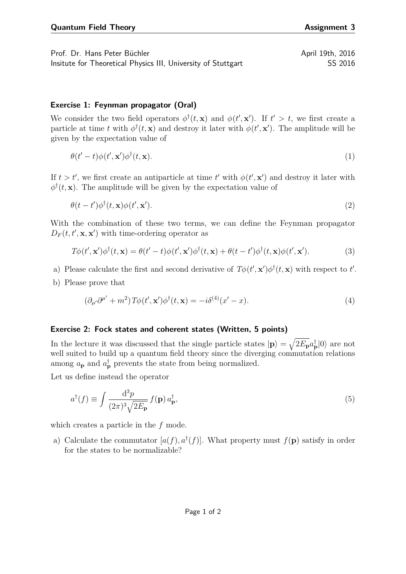Prof. Dr. Hans Peter Büchler April 19th, 2016 Insitute for Theoretical Physics III, University of Stuttgart SS 2016

## **Exercise 1: Feynman propagator (Oral)**

We consider the two field operators  $\phi^{\dagger}(t, \mathbf{x})$  and  $\phi(t', \mathbf{x}')$ . If  $t' > t$ , we first create a particle at time *t* with  $\phi^{\dagger}(t, \mathbf{x})$  and destroy it later with  $\phi(t', \mathbf{x}')$ . The amplitude will be given by the expectation value of

$$
\theta(t'-t)\phi(t',\mathbf{x}')\phi^{\dagger}(t,\mathbf{x}).\tag{1}
$$

If  $t > t'$ , we first create an antiparticle at time  $t'$  with  $\phi(t', \mathbf{x}')$  and destroy it later with  $\phi^{\dagger}(t, \mathbf{x})$ . The amplitude will be given by the expectation value of

$$
\theta(t - t')\phi^{\dagger}(t, \mathbf{x})\phi(t', \mathbf{x}'). \tag{2}
$$

With the combination of these two terms, we can define the Feynman propagator  $D_F(t, t', \mathbf{x}, \mathbf{x}')$  with time-ordering operator as

$$
T\phi(t', \mathbf{x}')\phi^{\dagger}(t, \mathbf{x}) = \theta(t'-t)\phi(t', \mathbf{x}')\phi^{\dagger}(t, \mathbf{x}) + \theta(t-t')\phi^{\dagger}(t, \mathbf{x})\phi(t', \mathbf{x}'). \tag{3}
$$

- a) Please calculate the first and second derivative of  $T\phi(t',\mathbf{x}')\phi^{\dagger}(t,\mathbf{x})$  with respect to *t'*.
- b) Please prove that

$$
\left(\partial_{\mu'}\partial^{\mu'} + m^2\right)T\phi(t', \mathbf{x}')\phi^{\dagger}(t, \mathbf{x}) = -i\delta^{(4)}(x'-x). \tag{4}
$$

## **Exercise 2: Fock states and coherent states (Written, 5 points)**

In the lecture it was discussed that the single particle states  $|\mathbf{p}\rangle = \sqrt{2E_p}a_p^{\dagger}|0\rangle$  are not well suited to build up a quantum field theory since the diverging commutation relations among  $a_{\mathbf{p}}$  and  $a_{\mathbf{p}}^{\dagger}$  prevents the state from being normalized.

Let us define instead the operator

$$
a^{\dagger}(f) \equiv \int \frac{\mathrm{d}^3 p}{(2\pi)^3 \sqrt{2E_{\mathbf{p}}}} f(\mathbf{p}) a_{\mathbf{p}}^{\dagger},\tag{5}
$$

which creates a particle in the *f* mode.

a) Calculate the commutator  $[a(f), a^{\dagger}(f)]$ . What property must  $f(\mathbf{p})$  satisfy in order for the states to be normalizable?